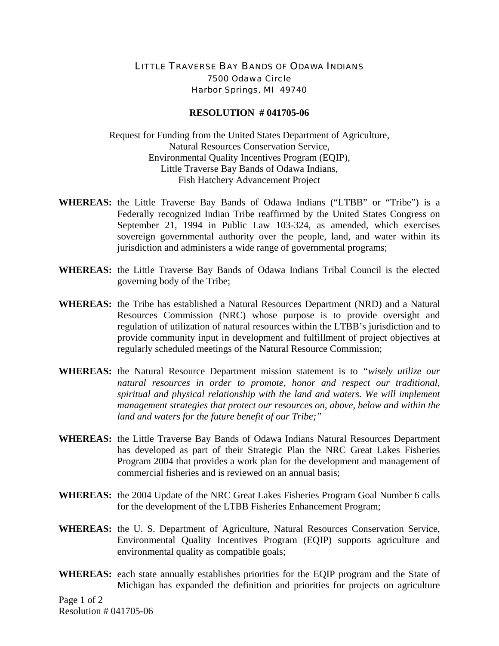## LITTLE TRAVERSE BAY BANDS OF ODAWA INDIANS 7500 Odawa Circle Harbor Springs, MI 49740

## **RESOLUTION # 041705-06**

Request for Funding from the United States Department of Agriculture, Natural Resources Conservation Service, Environmental Quality Incentives Program (EQIP), Little Traverse Bay Bands of Odawa Indians, Fish Hatchery Advancement Project

- **WHEREAS:** the Little Traverse Bay Bands of Odawa Indians ("LTBB" or "Tribe") is a Federally recognized Indian Tribe reaffirmed by the United States Congress on September 21, 1994 in Public Law 103-324, as amended, which exercises sovereign governmental authority over the people, land, and water within its jurisdiction and administers a wide range of governmental programs;
- **WHEREAS:** the Little Traverse Bay Bands of Odawa Indians Tribal Council is the elected governing body of the Tribe;
- **WHEREAS:** the Tribe has established a Natural Resources Department (NRD) and a Natural Resources Commission (NRC) whose purpose is to provide oversight and regulation of utilization of natural resources within the LTBB's jurisdiction and to provide community input in development and fulfillment of project objectives at regularly scheduled meetings of the Natural Resource Commission;
- **WHEREAS:** the Natural Resource Department mission statement is to *"wisely utilize our natural resources in order to promote, honor and respect our traditional, spiritual and physical relationship with the land and waters. We will implement management strategies that protect our resources on, above, below and within the land and waters for the future benefit of our Tribe;"*
- **WHEREAS:** the Little Traverse Bay Bands of Odawa Indians Natural Resources Department has developed as part of their Strategic Plan the NRC Great Lakes Fisheries Program 2004 that provides a work plan for the development and management of commercial fisheries and is reviewed on an annual basis;
- **WHEREAS:** the 2004 Update of the NRC Great Lakes Fisheries Program Goal Number 6 calls for the development of the LTBB Fisheries Enhancement Program;
- **WHEREAS:** the U. S. Department of Agriculture, Natural Resources Conservation Service, Environmental Quality Incentives Program (EQIP) supports agriculture and environmental quality as compatible goals;
- **WHEREAS:** each state annually establishes priorities for the EQIP program and the State of Michigan has expanded the definition and priorities for projects on agriculture

Page 1 of 2 Resolution # 041705-06